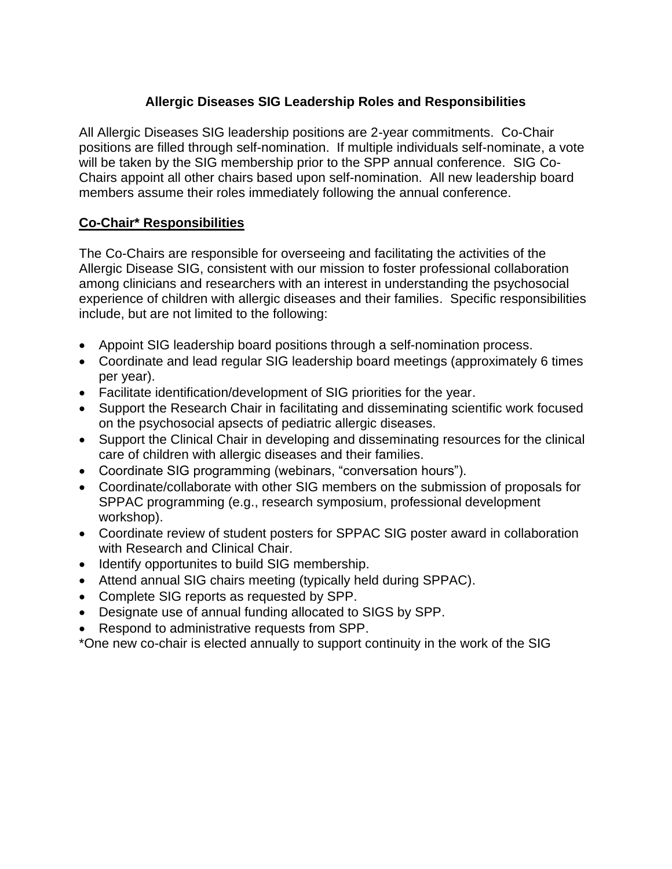## **Allergic Diseases SIG Leadership Roles and Responsibilities**

All Allergic Diseases SIG leadership positions are 2-year commitments. Co-Chair positions are filled through self-nomination. If multiple individuals self-nominate, a vote will be taken by the SIG membership prior to the SPP annual conference. SIG Co-Chairs appoint all other chairs based upon self-nomination. All new leadership board members assume their roles immediately following the annual conference.

### **Co-Chair\* Responsibilities**

The Co-Chairs are responsible for overseeing and facilitating the activities of the Allergic Disease SIG, consistent with our mission to foster professional collaboration among clinicians and researchers with an interest in understanding the psychosocial experience of children with allergic diseases and their families. Specific responsibilities include, but are not limited to the following:

- Appoint SIG leadership board positions through a self-nomination process.
- Coordinate and lead regular SIG leadership board meetings (approximately 6 times per year).
- Facilitate identification/development of SIG priorities for the year.
- Support the Research Chair in facilitating and disseminating scientific work focused on the psychosocial apsects of pediatric allergic diseases.
- Support the Clinical Chair in developing and disseminating resources for the clinical care of children with allergic diseases and their families.
- Coordinate SIG programming (webinars, "conversation hours").
- Coordinate/collaborate with other SIG members on the submission of proposals for SPPAC programming (e.g., research symposium, professional development workshop).
- Coordinate review of student posters for SPPAC SIG poster award in collaboration with Research and Clinical Chair.
- Identify opportunites to build SIG membership.
- Attend annual SIG chairs meeting (typically held during SPPAC).
- Complete SIG reports as requested by SPP.
- Designate use of annual funding allocated to SIGS by SPP.
- Respond to administrative requests from SPP.

\*One new co-chair is elected annually to support continuity in the work of the SIG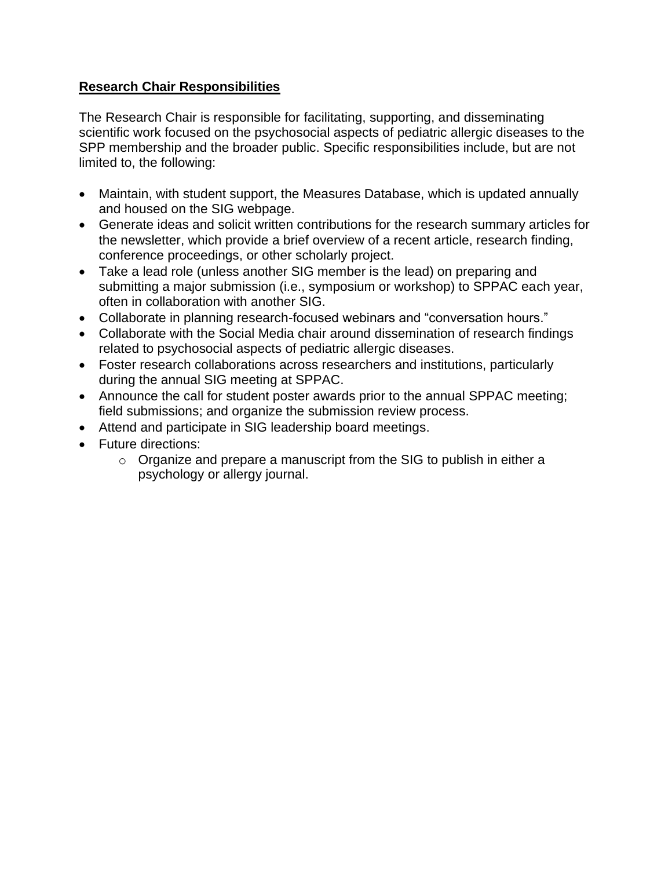### **Research Chair Responsibilities**

The Research Chair is responsible for facilitating, supporting, and disseminating scientific work focused on the psychosocial aspects of pediatric allergic diseases to the SPP membership and the broader public. Specific responsibilities include, but are not limited to, the following:

- Maintain, with student support, the Measures Database, which is updated annually and housed on the SIG webpage.
- Generate ideas and solicit written contributions for the research summary articles for the newsletter, which provide a brief overview of a recent article, research finding, conference proceedings, or other scholarly project.
- Take a lead role (unless another SIG member is the lead) on preparing and submitting a major submission (i.e., symposium or workshop) to SPPAC each year, often in collaboration with another SIG.
- Collaborate in planning research-focused webinars and "conversation hours."
- Collaborate with the Social Media chair around dissemination of research findings related to psychosocial aspects of pediatric allergic diseases.
- Foster research collaborations across researchers and institutions, particularly during the annual SIG meeting at SPPAC.
- Announce the call for student poster awards prior to the annual SPPAC meeting; field submissions; and organize the submission review process.
- Attend and participate in SIG leadership board meetings.
- Future directions:
	- $\circ$  Organize and prepare a manuscript from the SIG to publish in either a psychology or allergy journal.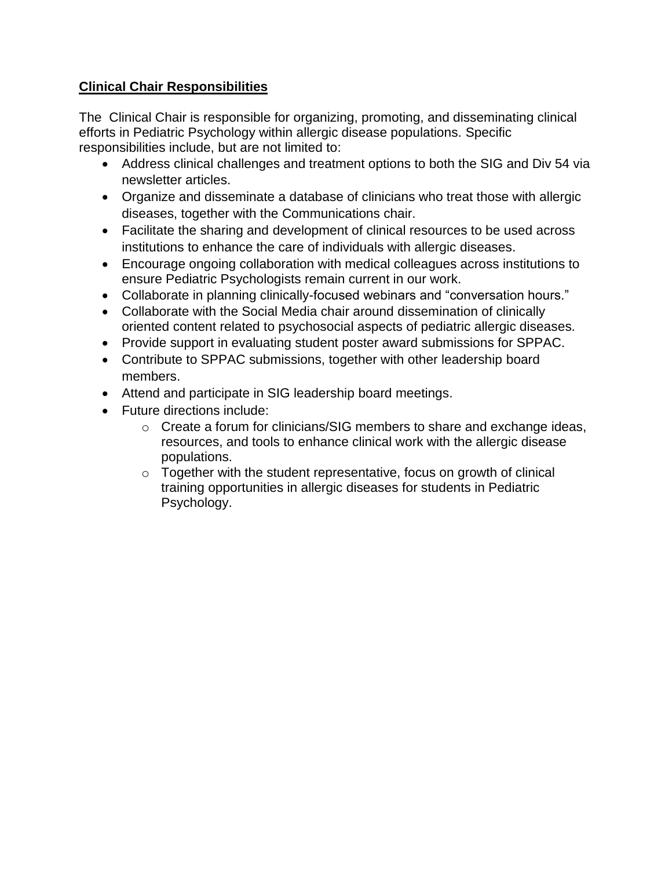# **Clinical Chair Responsibilities**

The Clinical Chair is responsible for organizing, promoting, and disseminating clinical efforts in Pediatric Psychology within allergic disease populations. Specific responsibilities include, but are not limited to:

- Address clinical challenges and treatment options to both the SIG and Div 54 via newsletter articles.
- Organize and disseminate a database of clinicians who treat those with allergic diseases, together with the Communications chair.
- Facilitate the sharing and development of clinical resources to be used across institutions to enhance the care of individuals with allergic diseases.
- Encourage ongoing collaboration with medical colleagues across institutions to ensure Pediatric Psychologists remain current in our work.
- Collaborate in planning clinically-focused webinars and "conversation hours."
- Collaborate with the Social Media chair around dissemination of clinically oriented content related to psychosocial aspects of pediatric allergic diseases.
- Provide support in evaluating student poster award submissions for SPPAC.
- Contribute to SPPAC submissions, together with other leadership board members.
- Attend and participate in SIG leadership board meetings.
- Future directions include:
	- o Create a forum for clinicians/SIG members to share and exchange ideas, resources, and tools to enhance clinical work with the allergic disease populations.
	- $\circ$  Together with the student representative, focus on growth of clinical training opportunities in allergic diseases for students in Pediatric Psychology.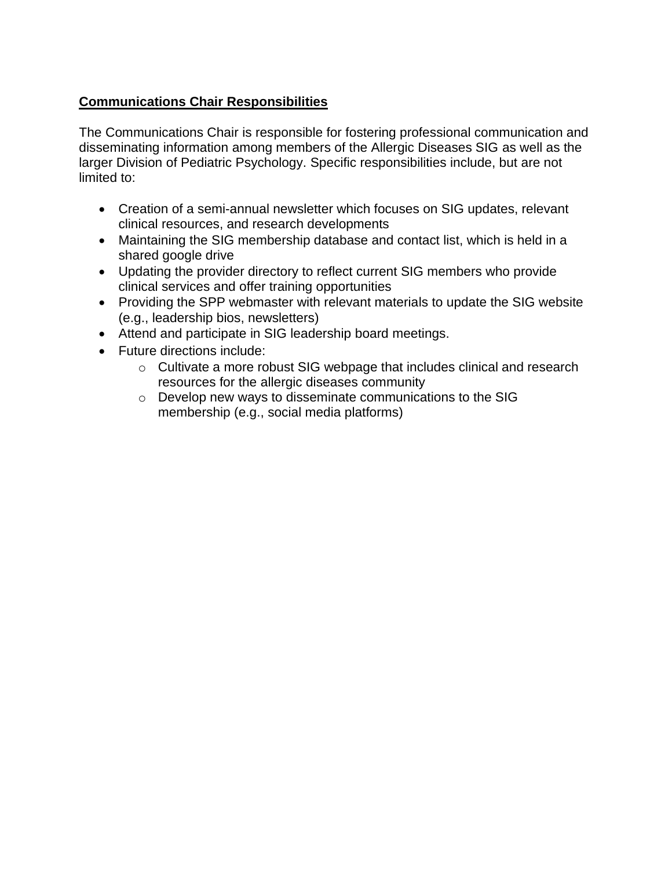# **Communications Chair Responsibilities**

The Communications Chair is responsible for fostering professional communication and disseminating information among members of the Allergic Diseases SIG as well as the larger Division of Pediatric Psychology. Specific responsibilities include, but are not limited to:

- Creation of a semi-annual newsletter which focuses on SIG updates, relevant clinical resources, and research developments
- Maintaining the SIG membership database and contact list, which is held in a shared google drive
- Updating the provider directory to reflect current SIG members who provide clinical services and offer training opportunities
- Providing the SPP webmaster with relevant materials to update the SIG website (e.g., leadership bios, newsletters)
- Attend and participate in SIG leadership board meetings.
- Future directions include:
	- o Cultivate a more robust SIG webpage that includes clinical and research resources for the allergic diseases community
	- o Develop new ways to disseminate communications to the SIG membership (e.g., social media platforms)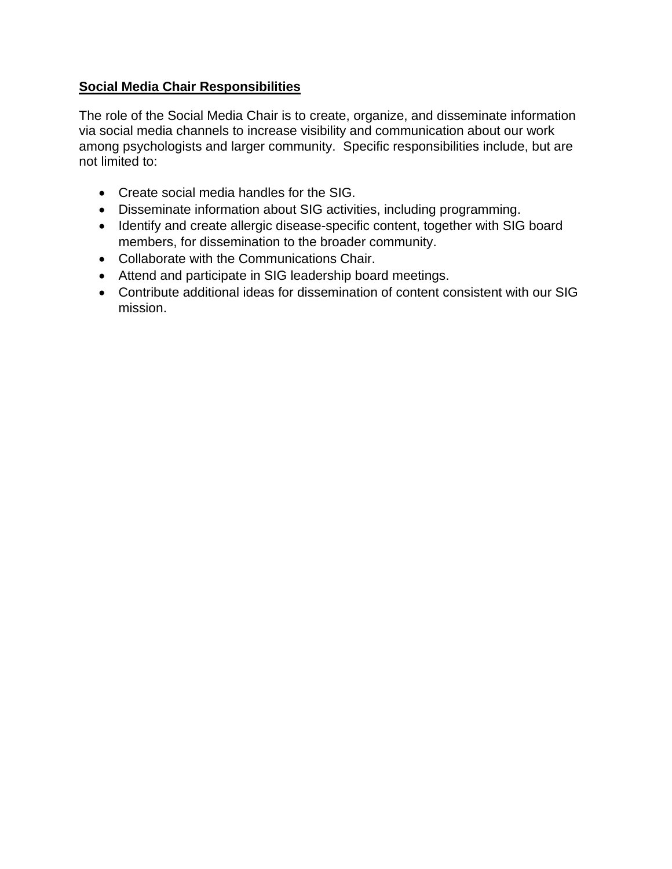### **Social Media Chair Responsibilities**

The role of the Social Media Chair is to create, organize, and disseminate information via social media channels to increase visibility and communication about our work among psychologists and larger community. Specific responsibilities include, but are not limited to:

- Create social media handles for the SIG.
- Disseminate information about SIG activities, including programming.
- Identify and create allergic disease-specific content, together with SIG board members, for dissemination to the broader community.
- Collaborate with the Communications Chair.
- Attend and participate in SIG leadership board meetings.
- Contribute additional ideas for dissemination of content consistent with our SIG mission.